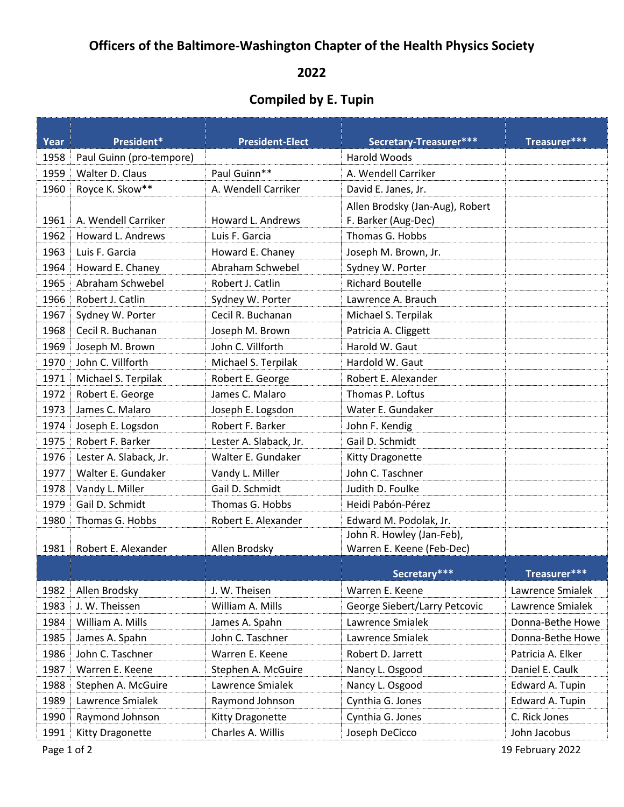## **Officers of the Baltimore-Washington Chapter of the Health Physics Society**

## 

## **Compiled by E. Tupin**

| Year | President*               | <b>President-Elect</b> | Secretary-Treasurer***                                 | Treasurer***      |
|------|--------------------------|------------------------|--------------------------------------------------------|-------------------|
| 1958 | Paul Guinn (pro-tempore) |                        | <b>Harold Woods</b>                                    |                   |
| 1959 | Walter D. Claus          | Paul Guinn**           | A. Wendell Carriker                                    |                   |
| 1960 | Royce K. Skow**          | A. Wendell Carriker    | David E. Janes, Jr.                                    |                   |
| 1961 | A. Wendell Carriker      | Howard L. Andrews      | Allen Brodsky (Jan-Aug), Robert<br>F. Barker (Aug-Dec) |                   |
| 1962 | Howard L. Andrews        | Luis F. Garcia         | Thomas G. Hobbs                                        |                   |
| 1963 | Luis F. Garcia           | Howard E. Chaney       | Joseph M. Brown, Jr.                                   |                   |
| 1964 | Howard E. Chaney         | Abraham Schwebel       | Sydney W. Porter                                       |                   |
| 1965 | Abraham Schwebel         | Robert J. Catlin       | <b>Richard Boutelle</b>                                |                   |
| 1966 | Robert J. Catlin         | Sydney W. Porter       | Lawrence A. Brauch                                     |                   |
| 1967 | Sydney W. Porter         | Cecil R. Buchanan      | Michael S. Terpilak                                    |                   |
| 1968 | Cecil R. Buchanan        | Joseph M. Brown        | Patricia A. Cliggett                                   |                   |
| 1969 | Joseph M. Brown          | John C. Villforth      | Harold W. Gaut                                         |                   |
| 1970 | John C. Villforth        | Michael S. Terpilak    | Hardold W. Gaut                                        |                   |
| 1971 | Michael S. Terpilak      | Robert E. George       | Robert E. Alexander                                    |                   |
| 1972 | Robert E. George         | James C. Malaro        | Thomas P. Loftus                                       |                   |
| 1973 | James C. Malaro          | Joseph E. Logsdon      | Water E. Gundaker                                      |                   |
| 1974 | Joseph E. Logsdon        | Robert F. Barker       | John F. Kendig                                         |                   |
| 1975 | Robert F. Barker         | Lester A. Slaback, Jr. | Gail D. Schmidt                                        |                   |
| 1976 | Lester A. Slaback, Jr.   | Walter E. Gundaker     | Kitty Dragonette                                       |                   |
| 1977 | Walter E. Gundaker       | Vandy L. Miller        | John C. Taschner                                       |                   |
| 1978 | Vandy L. Miller          | Gail D. Schmidt        | Judith D. Foulke                                       |                   |
| 1979 | Gail D. Schmidt          | Thomas G. Hobbs        | Heidi Pabón-Pérez                                      |                   |
| 1980 | Thomas G. Hobbs          | Robert E. Alexander    | Edward M. Podolak, Jr.                                 |                   |
| 1981 | Robert E. Alexander      | Allen Brodsky          | John R. Howley (Jan-Feb),<br>Warren E. Keene (Feb-Dec) |                   |
|      |                          |                        | Secretary***                                           | Treasurer***      |
| 1982 | Allen Brodsky            | J. W. Theisen          | Warren E. Keene                                        | Lawrence Smialek  |
| 1983 | J. W. Theissen           | William A. Mills       | George Siebert/Larry Petcovic                          | Lawrence Smialek  |
| 1984 | William A. Mills         | James A. Spahn         | Lawrence Smialek                                       | Donna-Bethe Howe  |
| 1985 | James A. Spahn           | John C. Taschner       | Lawrence Smialek                                       | Donna-Bethe Howe  |
| 1986 | John C. Taschner         | Warren E. Keene        | Robert D. Jarrett                                      | Patricia A. Elker |
| 1987 | Warren E. Keene          | Stephen A. McGuire     | Nancy L. Osgood                                        | Daniel E. Caulk   |
| 1988 | Stephen A. McGuire       | Lawrence Smialek       | Nancy L. Osgood                                        | Edward A. Tupin   |
| 1989 | Lawrence Smialek         | Raymond Johnson        | Cynthia G. Jones                                       | Edward A. Tupin   |
| 1990 | Raymond Johnson          | Kitty Dragonette       | Cynthia G. Jones                                       | C. Rick Jones     |
| 1991 | Kitty Dragonette         | Charles A. Willis      | Joseph DeCicco                                         | John Jacobus      |

Page 1 of 2 19 February 2022